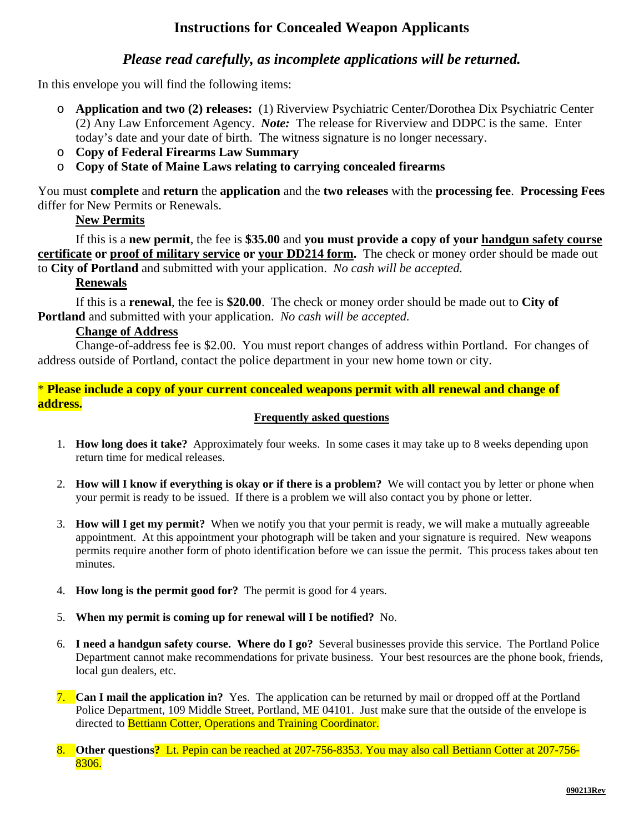# **Instructions for Concealed Weapon Applicants**

## *Please read carefully, as incomplete applications will be returned.*

In this envelope you will find the following items:

- o **Application and two (2) releases:** (1) Riverview Psychiatric Center/Dorothea Dix Psychiatric Center (2) Any Law Enforcement Agency. *Note:* The release for Riverview and DDPC is the same. Enter today's date and your date of birth. The witness signature is no longer necessary.
- o **Copy of Federal Firearms Law Summary**
- o **Copy of State of Maine Laws relating to carrying concealed firearms**

You must **complete** and **return** the **application** and the **two releases** with the **processing fee**. **Processing Fees**  differ for New Permits or Renewals.

## **New Permits**

If this is a **new permit**, the fee is **\$35.00** and **you must provide a copy of your handgun safety course certificate or proof of military service or your DD214 form.** The check or money order should be made out to **City of Portland** and submitted with your application. *No cash will be accepted.* 

## **Renewals**

If this is a **renewal**, the fee is **\$20.00**. The check or money order should be made out to **City of Portland** and submitted with your application. *No cash will be accepted.* 

## **Change of Address**

Change-of-address fee is \$2.00. You must report changes of address within Portland. For changes of address outside of Portland, contact the police department in your new home town or city.

## \* **Please include a copy of your current concealed weapons permit with all renewal and change of address.**

### **Frequently asked questions**

- 1. **How long does it take?** Approximately four weeks. In some cases it may take up to 8 weeks depending upon return time for medical releases.
- 2. **How will I know if everything is okay or if there is a problem?** We will contact you by letter or phone when your permit is ready to be issued. If there is a problem we will also contact you by phone or letter.
- 3. **How will I get my permit?** When we notify you that your permit is ready, we will make a mutually agreeable appointment. At this appointment your photograph will be taken and your signature is required. New weapons permits require another form of photo identification before we can issue the permit. This process takes about ten minutes.
- 4. **How long is the permit good for?** The permit is good for 4 years.
- 5. **When my permit is coming up for renewal will I be notified?** No.
- 6. **I need a handgun safety course. Where do I go?** Several businesses provide this service. The Portland Police Department cannot make recommendations for private business. Your best resources are the phone book, friends, local gun dealers, etc.
- 7. **Can I mail the application in?** Yes. The application can be returned by mail or dropped off at the Portland Police Department, 109 Middle Street, Portland, ME 04101. Just make sure that the outside of the envelope is directed to Bettiann Cotter, Operations and Training Coordinator.
- **Other questions?** Lt. Pepin can be reached at 207-756-8353. You may also call Bettiann Cotter at 207-756-8306.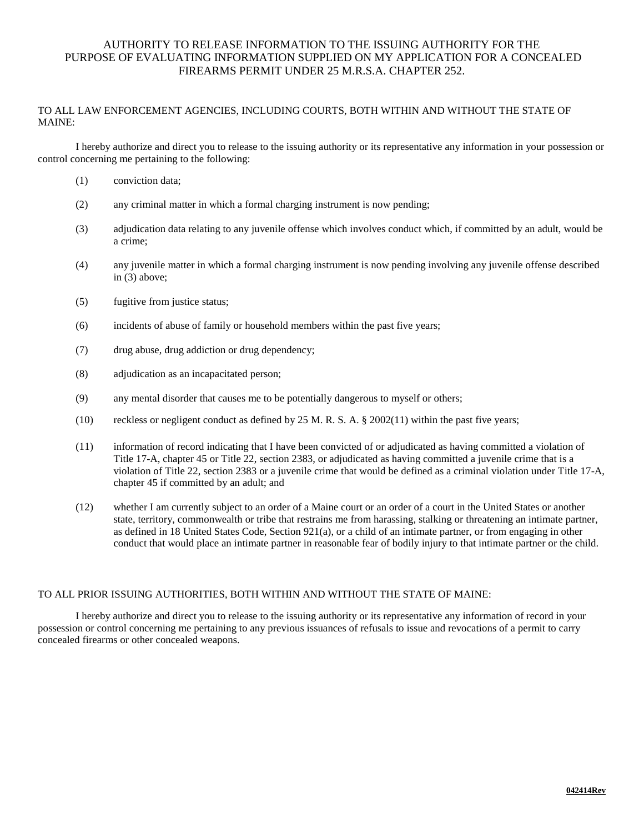### AUTHORITY TO RELEASE INFORMATION TO THE ISSUING AUTHORITY FOR THE PURPOSE OF EVALUATING INFORMATION SUPPLIED ON MY APPLICATION FOR A CONCEALED FIREARMS PERMIT UNDER 25 M.R.S.A. CHAPTER 252.

#### TO ALL LAW ENFORCEMENT AGENCIES, INCLUDING COURTS, BOTH WITHIN AND WITHOUT THE STATE OF MAINE:

I hereby authorize and direct you to release to the issuing authority or its representative any information in your possession or control concerning me pertaining to the following:

- (1) conviction data;
- (2) any criminal matter in which a formal charging instrument is now pending;
- (3) adjudication data relating to any juvenile offense which involves conduct which, if committed by an adult, would be a crime;
- (4) any juvenile matter in which a formal charging instrument is now pending involving any juvenile offense described in (3) above;
- (5) fugitive from justice status;
- (6) incidents of abuse of family or household members within the past five years;
- (7) drug abuse, drug addiction or drug dependency;
- (8) adjudication as an incapacitated person;
- (9) any mental disorder that causes me to be potentially dangerous to myself or others;
- (10) reckless or negligent conduct as defined by 25 M. R. S. A.  $\S 2002(11)$  within the past five years;
- (11) information of record indicating that I have been convicted of or adjudicated as having committed a violation of Title 17-A, chapter 45 or Title 22, section 2383, or adjudicated as having committed a juvenile crime that is a violation of Title 22, section 2383 or a juvenile crime that would be defined as a criminal violation under Title 17-A, chapter 45 if committed by an adult; and
- (12) whether I am currently subject to an order of a Maine court or an order of a court in the United States or another state, territory, commonwealth or tribe that restrains me from harassing, stalking or threatening an intimate partner, as defined in 18 United States Code, Section 921(a), or a child of an intimate partner, or from engaging in other conduct that would place an intimate partner in reasonable fear of bodily injury to that intimate partner or the child.

#### TO ALL PRIOR ISSUING AUTHORITIES, BOTH WITHIN AND WITHOUT THE STATE OF MAINE:

I hereby authorize and direct you to release to the issuing authority or its representative any information of record in your possession or control concerning me pertaining to any previous issuances of refusals to issue and revocations of a permit to carry concealed firearms or other concealed weapons.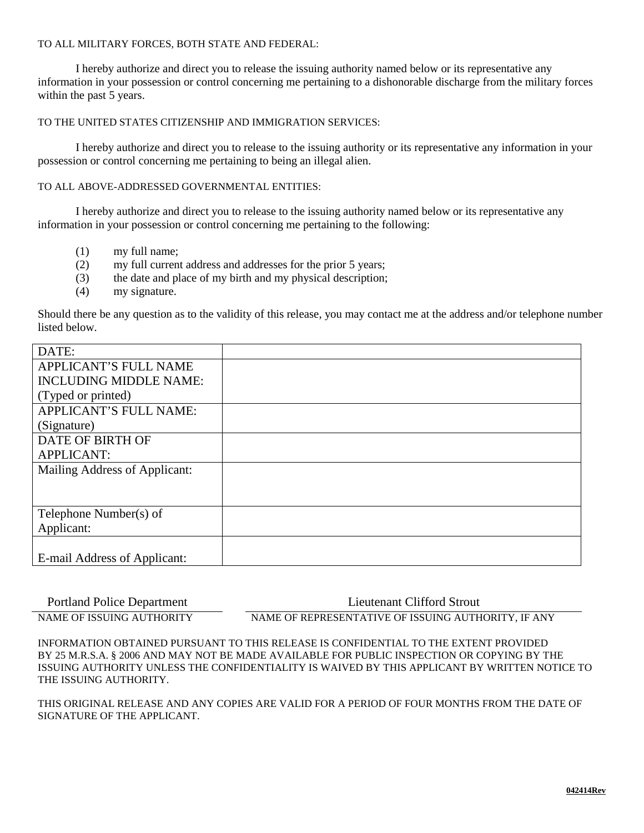#### TO ALL MILITARY FORCES, BOTH STATE AND FEDERAL:

I hereby authorize and direct you to release the issuing authority named below or its representative any information in your possession or control concerning me pertaining to a dishonorable discharge from the military forces within the past 5 years.

TO THE UNITED STATES CITIZENSHIP AND IMMIGRATION SERVICES:

I hereby authorize and direct you to release to the issuing authority or its representative any information in your possession or control concerning me pertaining to being an illegal alien.

TO ALL ABOVE-ADDRESSED GOVERNMENTAL ENTITIES:

I hereby authorize and direct you to release to the issuing authority named below or its representative any information in your possession or control concerning me pertaining to the following:

- (1) my full name;
- (2) my full current address and addresses for the prior 5 years;
- (3) the date and place of my birth and my physical description;
- (4) my signature.

Should there be any question as to the validity of this release, you may contact me at the address and/or telephone number listed below.

| DATE:                         |  |
|-------------------------------|--|
| <b>APPLICANT'S FULL NAME</b>  |  |
| <b>INCLUDING MIDDLE NAME:</b> |  |
| (Typed or printed)            |  |
| <b>APPLICANT'S FULL NAME:</b> |  |
| (Signature)                   |  |
| DATE OF BIRTH OF              |  |
| <b>APPLICANT:</b>             |  |
| Mailing Address of Applicant: |  |
|                               |  |
|                               |  |
| Telephone Number(s) of        |  |
| Applicant:                    |  |
|                               |  |
| E-mail Address of Applicant:  |  |

Portland Police Department Lieutenant Clifford Strout

NAME OF ISSUING AUTHORITY NAME OF REPRESENTATIVE OF ISSUING AUTHORITY, IF ANY

INFORMATION OBTAINED PURSUANT TO THIS RELEASE IS CONFIDENTIAL TO THE EXTENT PROVIDED BY 25 M.R.S.A. § 2006 AND MAY NOT BE MADE AVAILABLE FOR PUBLIC INSPECTION OR COPYING BY THE ISSUING AUTHORITY UNLESS THE CONFIDENTIALITY IS WAIVED BY THIS APPLICANT BY WRITTEN NOTICE TO THE ISSUING AUTHORITY.

THIS ORIGINAL RELEASE AND ANY COPIES ARE VALID FOR A PERIOD OF FOUR MONTHS FROM THE DATE OF SIGNATURE OF THE APPLICANT.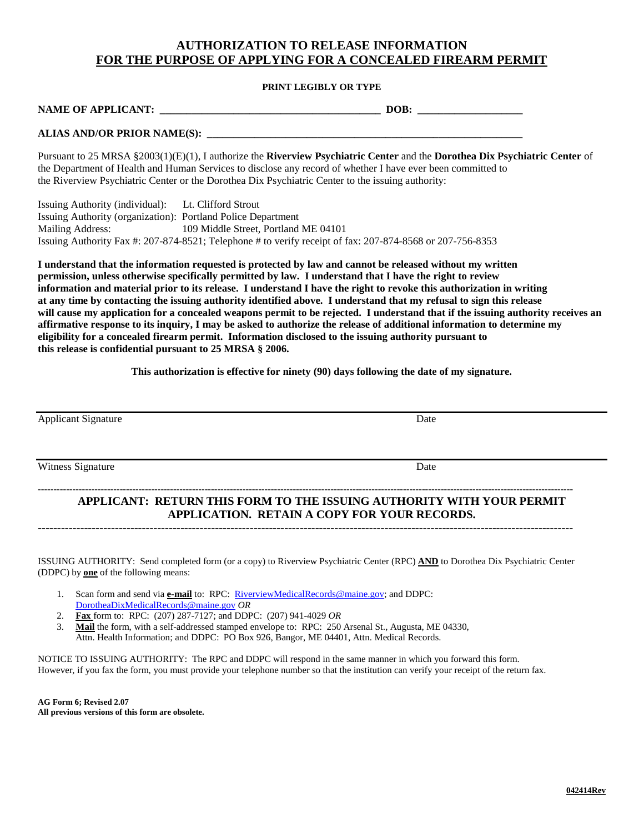### **AUTHORIZATION TO RELEASE INFORMATION FOR THE PURPOSE OF APPLYING FOR A CONCEALED FIREARM PERMIT**

#### **PRINT LEGIBLY OR TYPE**

| <b>NAME OF APPLICANT:</b> | DOB. |  |
|---------------------------|------|--|
|                           |      |  |

#### **ALIAS AND/OR PRIOR NAME(S): \_\_\_\_\_\_\_\_\_\_\_\_\_\_\_\_\_\_\_\_\_\_\_\_\_\_\_\_\_\_\_\_\_\_\_\_\_\_\_\_\_\_\_\_\_\_\_\_\_\_\_\_\_\_\_\_\_\_\_\_**

Pursuant to 25 MRSA §2003(1)(E)(1), I authorize the **Riverview Psychiatric Center** and the **Dorothea Dix Psychiatric Center** of the Department of Health and Human Services to disclose any record of whether I have ever been committed to the Riverview Psychiatric Center or the Dorothea Dix Psychiatric Center to the issuing authority:

Issuing Authority (individual): Lt. Clifford Strout Issuing Authority (organization): Portland Police Department Mailing Address: 109 Middle Street, Portland ME 04101 Issuing Authority Fax #: 207-874-8521; Telephone # to verify receipt of fax: 207-874-8568 or 207-756-8353

**I understand that the information requested is protected by law and cannot be released without my written permission, unless otherwise specifically permitted by law. I understand that I have the right to review information and material prior to its release. I understand I have the right to revoke this authorization in writing at any time by contacting the issuing authority identified above. I understand that my refusal to sign this release will cause my application for a concealed weapons permit to be rejected. I understand that if the issuing authority receives an affirmative response to its inquiry, I may be asked to authorize the release of additional information to determine my eligibility for a concealed firearm permit. Information disclosed to the issuing authority pursuant to this release is confidential pursuant to 25 MRSA § 2006.**

**This authorization is effective for ninety (90) days following the date of my signature.**

| <b>Applicant Signature</b> | Date                                                                                                                  |
|----------------------------|-----------------------------------------------------------------------------------------------------------------------|
|                            |                                                                                                                       |
| Witness Signature          | Date                                                                                                                  |
|                            | APPLICANT: RETURN THIS FORM TO THE ISSUING AUTHORITY WITH YOUR PERMIT<br>APPLICATION. RETAIN A COPY FOR YOUR RECORDS. |

**-------------------------------------------------------------------------------------------------------------------------------------------**

ISSUING AUTHORITY: Send completed form (or a copy) to Riverview Psychiatric Center (RPC) **AND** to Dorothea Dix Psychiatric Center (DDPC) by **one** of the following means:

- 1. Scan form and send via **e-mail** to: RPC: [RiverviewMedicalRecords@maine.gov;](mailto:RiverviewMedicalRecords@maine.gov) and DDPC: [DorotheaDixMedicalRecords@maine.gov](mailto:DorotheaDixMedicalRecords@maine.gov) *OR*
- 2. **Fax** form to: RPC: (207) 287-7127; and DDPC: (207) 941-4029 *OR*
- 3. **Mail** the form, with a self-addressed stamped envelope to: RPC: 250 Arsenal St., Augusta, ME 04330, Attn. Health Information; and DDPC: PO Box 926, Bangor, ME 04401, Attn. Medical Records.

NOTICE TO ISSUING AUTHORITY: The RPC and DDPC will respond in the same manner in which you forward this form. However, if you fax the form, you must provide your telephone number so that the institution can verify your receipt of the return fax.

**AG Form 6; Revised 2.07 All previous versions of this form are obsolete.**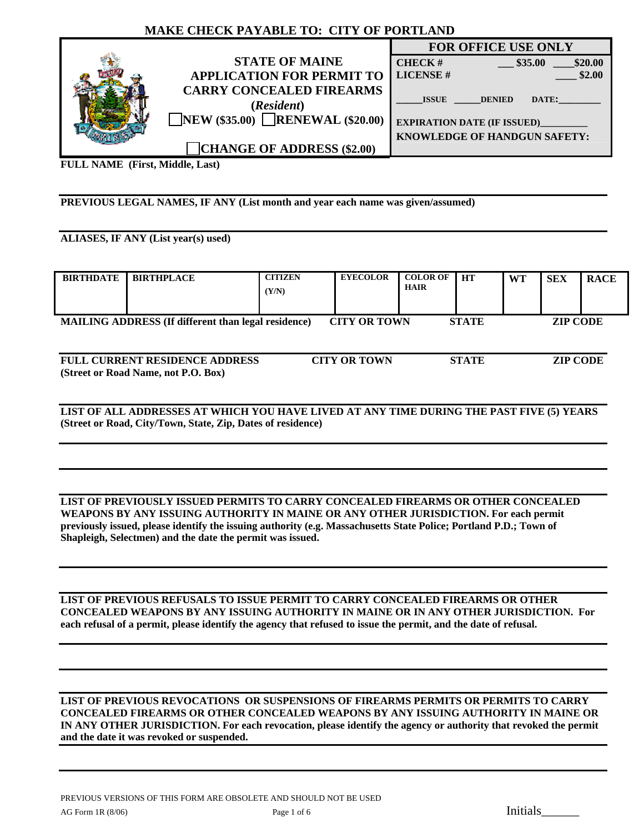## **MAKE CHECK PAYABLE TO: CITY OF PORTLAND**

|                                               | <b>FOR OFFICE USE ONLY</b>             |  |  |
|-----------------------------------------------|----------------------------------------|--|--|
| <b>STATE OF MAINE</b>                         | \$35.00<br>\$20.00<br><b>CHECK#</b>    |  |  |
| <b>APPLICATION FOR PERMIT TO</b>              | <b>LICENSE#</b><br>\$2.00              |  |  |
| <b>CARRY CONCEALED FIREARMS</b><br>(Resident) | <b>ISSUE</b><br>DATE:<br><b>DENIED</b> |  |  |
| <b>NEW</b> (\$35.00) <b>RENEWAL</b> (\$20.00) | <b>EXPIRATION DATE (IF ISSUED)</b>     |  |  |
|                                               | <b>KNOWLEDGE OF HANDGUN SAFETY:</b>    |  |  |
| <b>CHANGE OF ADDRESS (\$2.00)</b>             |                                        |  |  |

**FULL NAME (First, Middle, Last)** 

#### **PREVIOUS LEGAL NAMES, IF ANY (List month and year each name was given/assumed)**

#### **ALIASES, IF ANY (List year(s) used)**

| <b>BIRTHDATE</b>                                                                                                     | <b>BIRTHPLACE</b>                                                                        | <b>CITIZEN</b><br>(Y/N) | <b>EYECOLOR</b>     | <b>COLOR OF</b><br><b>HAIR</b> | <b>HT</b>    | <b>WT</b> | <b>SEX</b>      | <b>RACE</b> |
|----------------------------------------------------------------------------------------------------------------------|------------------------------------------------------------------------------------------|-------------------------|---------------------|--------------------------------|--------------|-----------|-----------------|-------------|
| <b>MAILING ADDRESS</b> (If different than legal residence)<br><b>CITY OR TOWN</b><br><b>ZIP CODE</b><br><b>STATE</b> |                                                                                          |                         |                     |                                |              |           |                 |             |
|                                                                                                                      | <b>FULL CURRENT RESIDENCE ADDRESS</b><br>(Street or Road Name, not P.O. Box)             |                         | <b>CITY OR TOWN</b> |                                | <b>STATE</b> |           | <b>ZIP CODE</b> |             |
|                                                                                                                      | LIST OF ALL ADDRESSES AT WHICH YOU HAVE LIVED AT ANY TIME DURING THE PAST FIVE (5) YEARS |                         |                     |                                |              |           |                 |             |

**LIST OF ALL ADDRESSES AT WHICH YOU HAVE LIVED AT ANY TIME DURING THE PAST FIVE (5) YEARS (Street or Road, City/Town, State, Zip, Dates of residence)** 

#### **LIST OF PREVIOUSLY ISSUED PERMITS TO CARRY CONCEALED FIREARMS OR OTHER CONCEALED WEAPONS BY ANY ISSUING AUTHORITY IN MAINE OR ANY OTHER JURISDICTION. For each permit previously issued, please identify the issuing authority (e.g. Massachusetts State Police; Portland P.D.; Town of Shapleigh, Selectmen) and the date the permit was issued.**

**LIST OF PREVIOUS REFUSALS TO ISSUE PERMIT TO CARRY CONCEALED FIREARMS OR OTHER CONCEALED WEAPONS BY ANY ISSUING AUTHORITY IN MAINE OR IN ANY OTHER JURISDICTION. For each refusal of a permit, please identify the agency that refused to issue the permit, and the date of refusal.** 

**LIST OF PREVIOUS REVOCATIONS OR SUSPENSIONS OF FIREARMS PERMITS OR PERMITS TO CARRY CONCEALED FIREARMS OR OTHER CONCEALED WEAPONS BY ANY ISSUING AUTHORITY IN MAINE OR IN ANY OTHER JURISDICTION. For each revocation, please identify the agency or authority that revoked the permit and the date it was revoked or suspended.**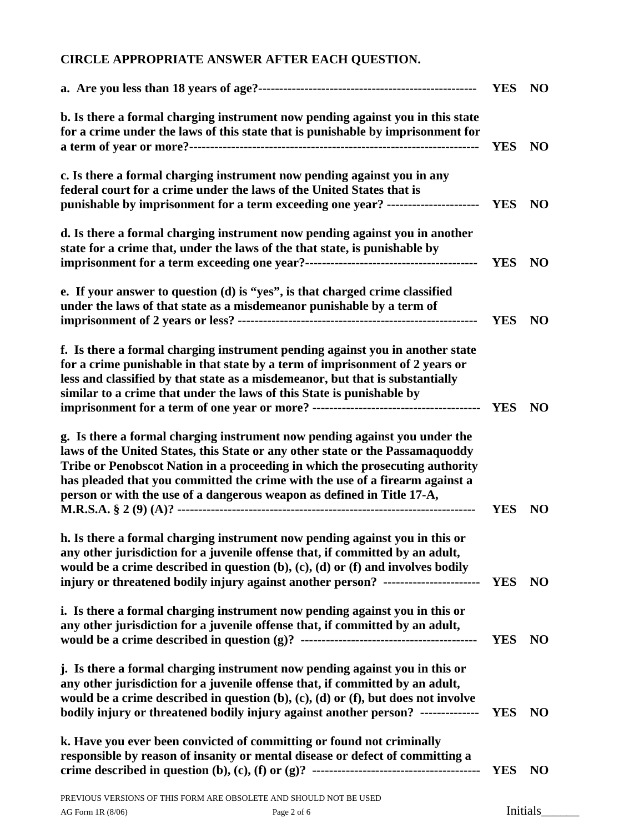# **CIRCLE APPROPRIATE ANSWER AFTER EACH QUESTION.**

|                                                                                                                                                                                                                                                                                                                                                                                                       | <b>YES</b> | NO             |
|-------------------------------------------------------------------------------------------------------------------------------------------------------------------------------------------------------------------------------------------------------------------------------------------------------------------------------------------------------------------------------------------------------|------------|----------------|
| b. Is there a formal charging instrument now pending against you in this state<br>for a crime under the laws of this state that is punishable by imprisonment for                                                                                                                                                                                                                                     | <b>YES</b> | <b>NO</b>      |
| c. Is there a formal charging instrument now pending against you in any<br>federal court for a crime under the laws of the United States that is<br>punishable by imprisonment for a term exceeding one year? ----------------------                                                                                                                                                                  | <b>YES</b> | <b>NO</b>      |
| d. Is there a formal charging instrument now pending against you in another<br>state for a crime that, under the laws of the that state, is punishable by                                                                                                                                                                                                                                             | <b>YES</b> | NO             |
| e. If your answer to question (d) is "yes", is that charged crime classified<br>under the laws of that state as a misdemeanor punishable by a term of                                                                                                                                                                                                                                                 | <b>YES</b> | <b>NO</b>      |
| f. Is there a formal charging instrument pending against you in another state<br>for a crime punishable in that state by a term of imprisonment of 2 years or<br>less and classified by that state as a misdemeanor, but that is substantially<br>similar to a crime that under the laws of this State is punishable by                                                                               |            | <b>NO</b>      |
| g. Is there a formal charging instrument now pending against you under the<br>laws of the United States, this State or any other state or the Passamaquoddy<br>Tribe or Penobscot Nation in a proceeding in which the prosecuting authority<br>has pleaded that you committed the crime with the use of a firearm against a<br>person or with the use of a dangerous weapon as defined in Title 17-A, | <b>YES</b> | <b>NO</b>      |
| h. Is there a formal charging instrument now pending against you in this or<br>any other jurisdiction for a juvenile offense that, if committed by an adult,<br>would be a crime described in question $(b)$ , $(c)$ , $(d)$ or $(f)$ and involves bodily<br>injury or threatened bodily injury against another person? ------------------------                                                      | <b>YES</b> | <b>NO</b>      |
| i. Is there a formal charging instrument now pending against you in this or<br>any other jurisdiction for a juvenile offense that, if committed by an adult,                                                                                                                                                                                                                                          | <b>YES</b> | N <sub>O</sub> |
| j. Is there a formal charging instrument now pending against you in this or<br>any other jurisdiction for a juvenile offense that, if committed by an adult,<br>would be a crime described in question $(b)$ , $(c)$ , $(d)$ or $(f)$ , but does not involve<br>bodily injury or threatened bodily injury against another person? --------------                                                      | <b>YES</b> | <b>NO</b>      |
| k. Have you ever been convicted of committing or found not criminally<br>responsible by reason of insanity or mental disease or defect of committing a                                                                                                                                                                                                                                                | <b>YES</b> | <b>NO</b>      |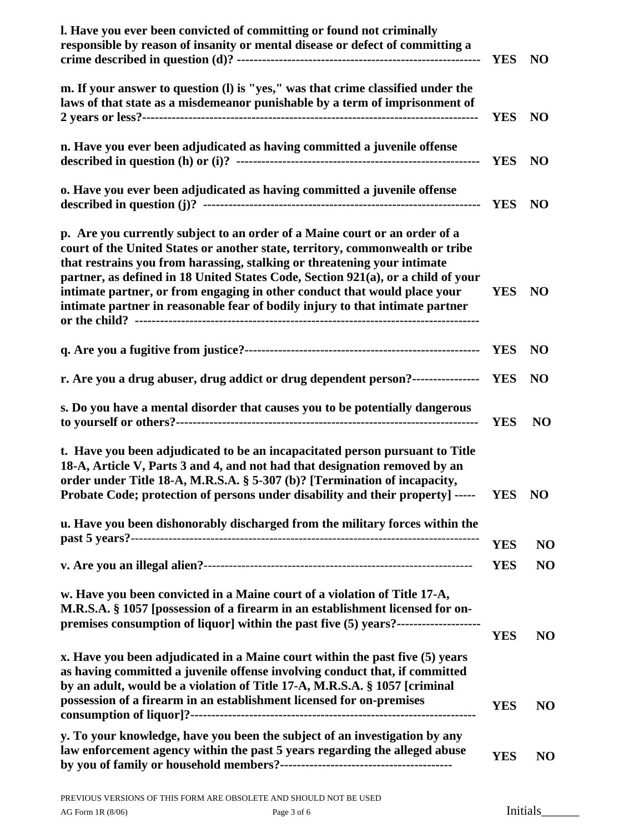| I. Have you ever been convicted of committing or found not criminally<br>responsible by reason of insanity or mental disease or defect of committing a                                                                                                                                                                                                                                                                                                                                    | <b>YES</b> | N <sub>O</sub> |
|-------------------------------------------------------------------------------------------------------------------------------------------------------------------------------------------------------------------------------------------------------------------------------------------------------------------------------------------------------------------------------------------------------------------------------------------------------------------------------------------|------------|----------------|
| m. If your answer to question (l) is "yes," was that crime classified under the<br>laws of that state as a misdemeanor punishable by a term of imprisonment of                                                                                                                                                                                                                                                                                                                            | <b>YES</b> | N <sub>O</sub> |
| n. Have you ever been adjudicated as having committed a juvenile offense                                                                                                                                                                                                                                                                                                                                                                                                                  | <b>YES</b> | N <sub>O</sub> |
| o. Have you ever been adjudicated as having committed a juvenile offense                                                                                                                                                                                                                                                                                                                                                                                                                  | <b>YES</b> | N <sub>O</sub> |
| p. Are you currently subject to an order of a Maine court or an order of a<br>court of the United States or another state, territory, commonwealth or tribe<br>that restrains you from harassing, stalking or threatening your intimate<br>partner, as defined in 18 United States Code, Section 921(a), or a child of your<br>intimate partner, or from engaging in other conduct that would place your<br>intimate partner in reasonable fear of bodily injury to that intimate partner | <b>YES</b> | <b>NO</b>      |
|                                                                                                                                                                                                                                                                                                                                                                                                                                                                                           | <b>YES</b> | N <sub>O</sub> |
| r. Are you a drug abuser, drug addict or drug dependent person?-----------------                                                                                                                                                                                                                                                                                                                                                                                                          | <b>YES</b> | NO             |
| s. Do you have a mental disorder that causes you to be potentially dangerous                                                                                                                                                                                                                                                                                                                                                                                                              | <b>YES</b> | N <sub>O</sub> |
| t. Have you been adjudicated to be an incapacitated person pursuant to Title<br>18-A, Article V, Parts 3 and 4, and not had that designation removed by an<br>order under Title 18-A, M.R.S.A. § 5-307 (b)? [Termination of incapacity,<br>Probate Code; protection of persons under disability and their property] -----                                                                                                                                                                 | YES NO     |                |
| u. Have you been dishonorably discharged from the military forces within the                                                                                                                                                                                                                                                                                                                                                                                                              | <b>YES</b> | N <sub>O</sub> |
|                                                                                                                                                                                                                                                                                                                                                                                                                                                                                           | <b>YES</b> | N <sub>O</sub> |
| w. Have you been convicted in a Maine court of a violation of Title 17-A,<br>M.R.S.A. § 1057 [possession of a firearm in an establishment licensed for on-<br>premises consumption of liquor] within the past five (5) years?------------------------                                                                                                                                                                                                                                     | <b>YES</b> | N <sub>O</sub> |
| x. Have you been adjudicated in a Maine court within the past five (5) years<br>as having committed a juvenile offense involving conduct that, if committed<br>by an adult, would be a violation of Title 17-A, M.R.S.A. § 1057 [criminal<br>possession of a firearm in an establishment licensed for on-premises                                                                                                                                                                         | <b>YES</b> | NO             |
| y. To your knowledge, have you been the subject of an investigation by any<br>law enforcement agency within the past 5 years regarding the alleged abuse                                                                                                                                                                                                                                                                                                                                  | YES        | <b>NO</b>      |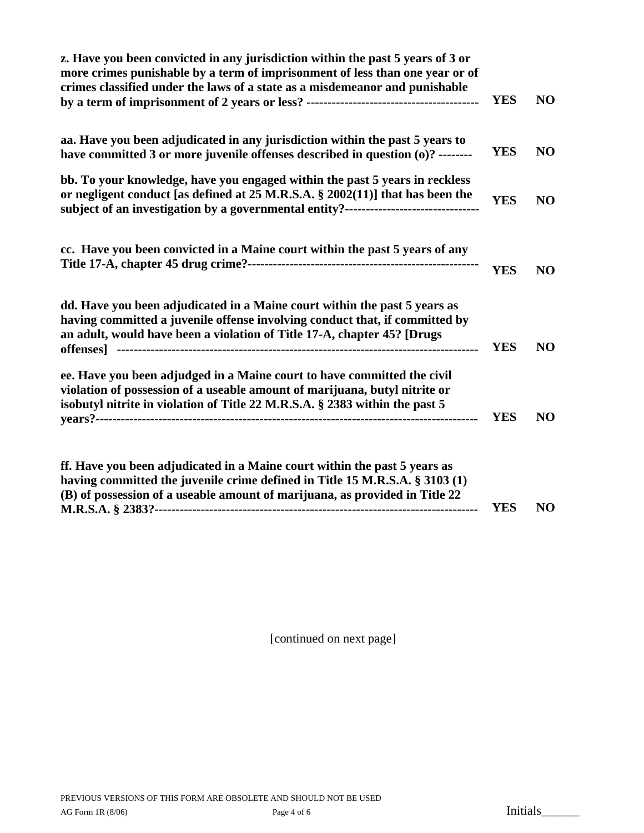| z. Have you been convicted in any jurisdiction within the past 5 years of 3 or<br>more crimes punishable by a term of imprisonment of less than one year or of<br>crimes classified under the laws of a state as a misdemeanor and punishable           | <b>YES</b> | N <sub>O</sub> |
|---------------------------------------------------------------------------------------------------------------------------------------------------------------------------------------------------------------------------------------------------------|------------|----------------|
| aa. Have you been adjudicated in any jurisdiction within the past 5 years to<br>have committed 3 or more juvenile offenses described in question (0)? --------                                                                                          | <b>YES</b> | N <sub>O</sub> |
| bb. To your knowledge, have you engaged within the past 5 years in reckless<br>or negligent conduct [as defined at 25 M.R.S.A. § 2002(11)] that has been the<br>subject of an investigation by a governmental entity?---------------------------------- | <b>YES</b> | N <sub>O</sub> |
| cc. Have you been convicted in a Maine court within the past 5 years of any                                                                                                                                                                             | <b>YES</b> | NO             |
| dd. Have you been adjudicated in a Maine court within the past 5 years as<br>having committed a juvenile offense involving conduct that, if committed by<br>an adult, would have been a violation of Title 17-A, chapter 45? [Drugs]                    | <b>YES</b> | NO             |
| ee. Have you been adjudged in a Maine court to have committed the civil<br>violation of possession of a useable amount of marijuana, butyl nitrite or<br>isobutyl nitrite in violation of Title 22 M.R.S.A. § 2383 within the past 5                    | <b>YES</b> | N <sub>O</sub> |
| ff. Have you been adjudicated in a Maine court within the past 5 years as<br>having committed the juvenile crime defined in Title 15 M.R.S.A. § 3103 (1)<br>(B) of possession of a useable amount of marijuana, as provided in Title 22                 |            |                |

**M.R.S.A. § 2383?----------------------------------------------------------------------------- YES NO** 

[continued on next page]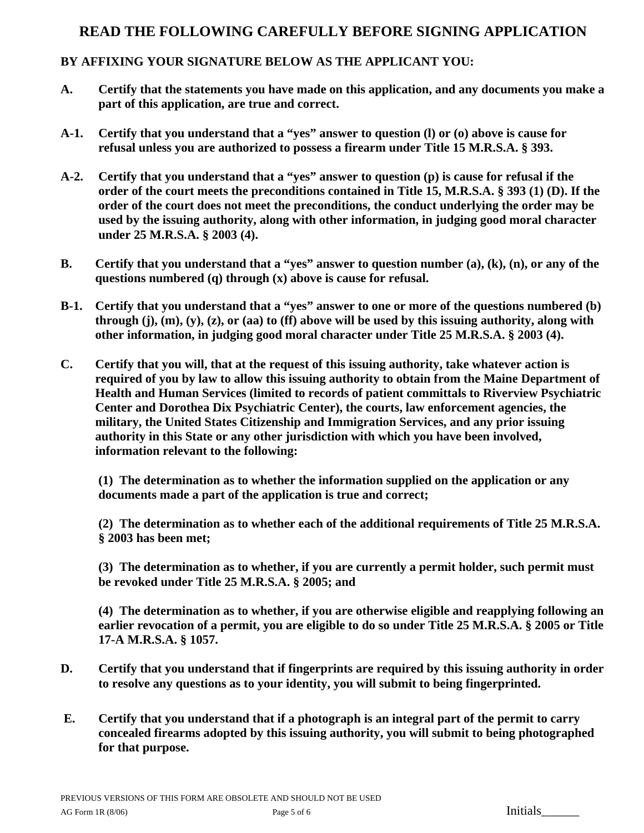## **READ THE FOLLOWING CAREFULLY BEFORE SIGNING APPLICATION**

## **BY AFFIXING YOUR SIGNATURE BELOW AS THE APPLICANT YOU:**

- **A. Certify that the statements you have made on this application, and any documents you make a part of this application, are true and correct.**
- **A-1. Certify that you understand that a "yes" answer to question (l) or (o) above is cause for refusal unless you are authorized to possess a firearm under Title 15 M.R.S.A. § 393.**
- **A-2. Certify that you understand that a "yes" answer to question (p) is cause for refusal if the order of the court meets the preconditions contained in Title 15, M.R.S.A. § 393 (1) (D). If the order of the court does not meet the preconditions, the conduct underlying the order may be used by the issuing authority, along with other information, in judging good moral character under 25 M.R.S.A. § 2003 (4).**
- **B. Certify that you understand that a "yes" answer to question number (a), (k), (n), or any of the questions numbered (q) through (x) above is cause for refusal.**
- **B-1. Certify that you understand that a "yes" answer to one or more of the questions numbered (b) through (j), (m), (y), (z), or (aa) to (ff) above will be used by this issuing authority, along with other information, in judging good moral character under Title 25 M.R.S.A. § 2003 (4).**
- **C. Certify that you will, that at the request of this issuing authority, take whatever action is required of you by law to allow this issuing authority to obtain from the Maine Department of Health and Human Services (limited to records of patient committals to Riverview Psychiatric Center and Dorothea Dix Psychiatric Center), the courts, law enforcement agencies, the military, the United States Citizenship and Immigration Services, and any prior issuing authority in this State or any other jurisdiction with which you have been involved, information relevant to the following:**

**(1) The determination as to whether the information supplied on the application or any documents made a part of the application is true and correct;** 

**(2) The determination as to whether each of the additional requirements of Title 25 M.R.S.A. § 2003 has been met;** 

**(3) The determination as to whether, if you are currently a permit holder, such permit must be revoked under Title 25 M.R.S.A. § 2005; and** 

**(4) The determination as to whether, if you are otherwise eligible and reapplying following an earlier revocation of a permit, you are eligible to do so under Title 25 M.R.S.A. § 2005 or Title 17-A M.R.S.A. § 1057.** 

- **D. Certify that you understand that if fingerprints are required by this issuing authority in order to resolve any questions as to your identity, you will submit to being fingerprinted.**
- **E. Certify that you understand that if a photograph is an integral part of the permit to carry concealed firearms adopted by this issuing authority, you will submit to being photographed for that purpose.**